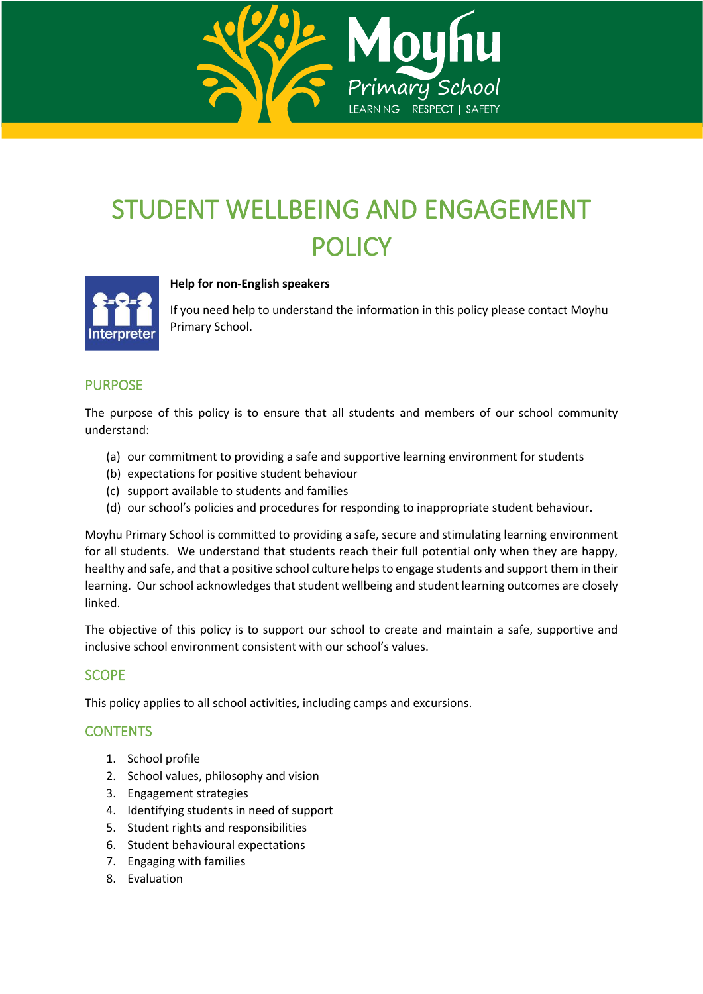

# STUDENT WELLBEING AND ENGAGEMENT POLICY



# **Help for non-English speakers**

If you need help to understand the information in this policy please contact Moyhu Primary School.

# PURPOSE

The purpose of this policy is to ensure that all students and members of our school community understand:

- (a) our commitment to providing a safe and supportive learning environment for students
- (b) expectations for positive student behaviour
- (c) support available to students and families
- (d) our school's policies and procedures for responding to inappropriate student behaviour.

Moyhu Primary School is committed to providing a safe, secure and stimulating learning environment for all students. We understand that students reach their full potential only when they are happy, healthy and safe, and that a positive school culture helps to engage students and support them in their learning. Our school acknowledges that student wellbeing and student learning outcomes are closely linked.

The objective of this policy is to support our school to create and maintain a safe, supportive and inclusive school environment consistent with our school's values.

# **SCOPE**

This policy applies to all school activities, including camps and excursions.

# **CONTENTS**

- 1. School profile
- 2. School values, philosophy and vision
- 3. Engagement strategies
- 4. Identifying students in need of support
- 5. Student rights and responsibilities
- 6. Student behavioural expectations
- 7. Engaging with families
- 8. Evaluation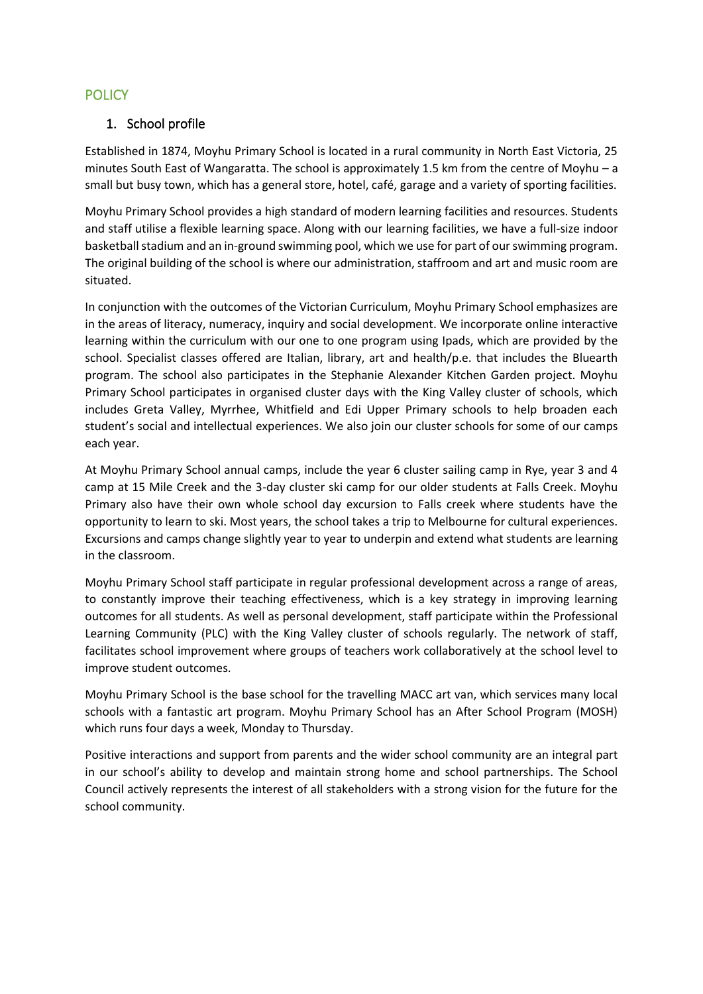# **POLICY**

## 1. School profile

Established in 1874, Moyhu Primary School is located in a rural community in North East Victoria, 25 minutes South East of Wangaratta. The school is approximately 1.5 km from the centre of Moyhu – a small but busy town, which has a general store, hotel, café, garage and a variety of sporting facilities.

Moyhu Primary School provides a high standard of modern learning facilities and resources. Students and staff utilise a flexible learning space. Along with our learning facilities, we have a full-size indoor basketball stadium and an in-ground swimming pool, which we use for part of our swimming program. The original building of the school is where our administration, staffroom and art and music room are situated.

In conjunction with the outcomes of the Victorian Curriculum, Moyhu Primary School emphasizes are in the areas of literacy, numeracy, inquiry and social development. We incorporate online interactive learning within the curriculum with our one to one program using Ipads, which are provided by the school. Specialist classes offered are Italian, library, art and health/p.e. that includes the Bluearth program. The school also participates in the Stephanie Alexander Kitchen Garden project. Moyhu Primary School participates in organised cluster days with the King Valley cluster of schools, which includes Greta Valley, Myrrhee, Whitfield and Edi Upper Primary schools to help broaden each student's social and intellectual experiences. We also join our cluster schools for some of our camps each year.

At Moyhu Primary School annual camps, include the year 6 cluster sailing camp in Rye, year 3 and 4 camp at 15 Mile Creek and the 3-day cluster ski camp for our older students at Falls Creek. Moyhu Primary also have their own whole school day excursion to Falls creek where students have the opportunity to learn to ski. Most years, the school takes a trip to Melbourne for cultural experiences. Excursions and camps change slightly year to year to underpin and extend what students are learning in the classroom.

Moyhu Primary School staff participate in regular professional development across a range of areas, to constantly improve their teaching effectiveness, which is a key strategy in improving learning outcomes for all students. As well as personal development, staff participate within the Professional Learning Community (PLC) with the King Valley cluster of schools regularly. The network of staff, facilitates school improvement where groups of teachers work collaboratively at the school level to improve student outcomes.

Moyhu Primary School is the base school for the travelling MACC art van, which services many local schools with a fantastic art program. Moyhu Primary School has an After School Program (MOSH) which runs four days a week, Monday to Thursday.

Positive interactions and support from parents and the wider school community are an integral part in our school's ability to develop and maintain strong home and school partnerships. The School Council actively represents the interest of all stakeholders with a strong vision for the future for the school community.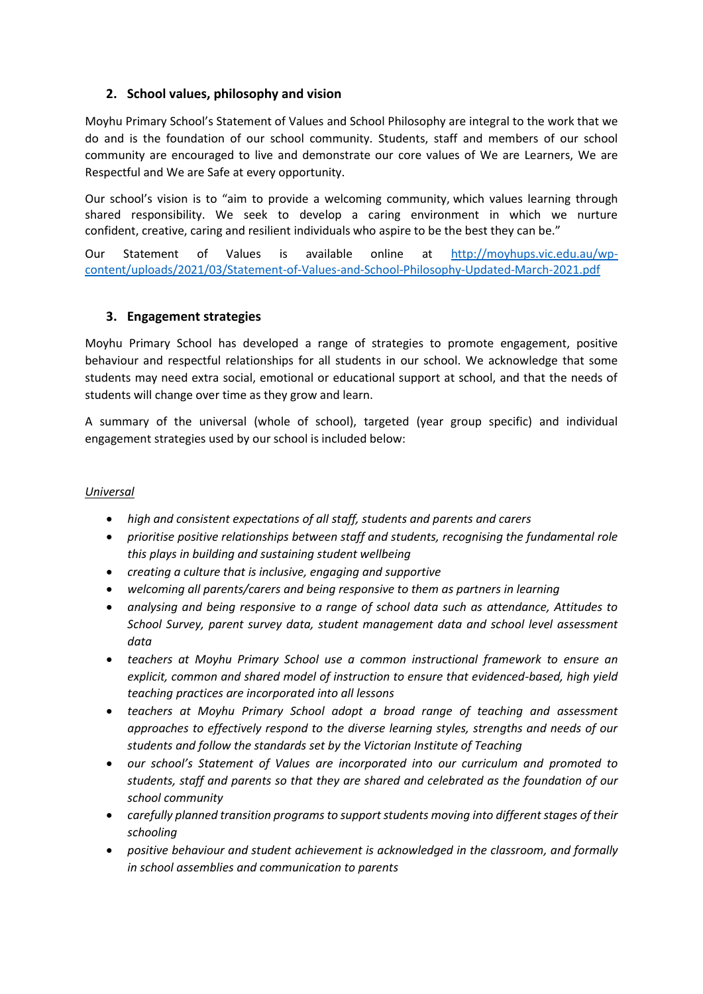## **2. School values, philosophy and vision**

Moyhu Primary School's Statement of Values and School Philosophy are integral to the work that we do and is the foundation of our school community. Students, staff and members of our school community are encouraged to live and demonstrate our core values of We are Learners, We are Respectful and We are Safe at every opportunity.

Our school's vision is to "aim to provide a welcoming community, which values learning through shared responsibility. We seek to develop a caring environment in which we nurture confident, creative, caring and resilient individuals who aspire to be the best they can be."

Our Statement of Values is available online at [http://moyhups.vic.edu.au/wp](http://moyhups.vic.edu.au/wp-content/uploads/2021/03/Statement-of-Values-and-School-Philosophy-Updated-March-2021.pdf)[content/uploads/2021/03/Statement-of-Values-and-School-Philosophy-Updated-March-2021.pdf](http://moyhups.vic.edu.au/wp-content/uploads/2021/03/Statement-of-Values-and-School-Philosophy-Updated-March-2021.pdf)

#### **3. Engagement strategies**

Moyhu Primary School has developed a range of strategies to promote engagement, positive behaviour and respectful relationships for all students in our school. We acknowledge that some students may need extra social, emotional or educational support at school, and that the needs of students will change over time as they grow and learn.

A summary of the universal (whole of school), targeted (year group specific) and individual engagement strategies used by our school is included below:

#### *Universal*

- *high and consistent expectations of all staff, students and parents and carers*
- *prioritise positive relationships between staff and students, recognising the fundamental role this plays in building and sustaining student wellbeing*
- *creating a culture that is inclusive, engaging and supportive*
- *welcoming all parents/carers and being responsive to them as partners in learning*
- *analysing and being responsive to a range of school data such as attendance, Attitudes to School Survey, parent survey data, student management data and school level assessment data*
- *teachers at Moyhu Primary School use a common instructional framework to ensure an explicit, common and shared model of instruction to ensure that evidenced-based, high yield teaching practices are incorporated into all lessons*
- *teachers at Moyhu Primary School adopt a broad range of teaching and assessment approaches to effectively respond to the diverse learning styles, strengths and needs of our students and follow the standards set by the Victorian Institute of Teaching*
- *our school's Statement of Values are incorporated into our curriculum and promoted to students, staff and parents so that they are shared and celebrated as the foundation of our school community*
- *carefully planned transition programs to support students moving into different stages of their schooling*
- *positive behaviour and student achievement is acknowledged in the classroom, and formally in school assemblies and communication to parents*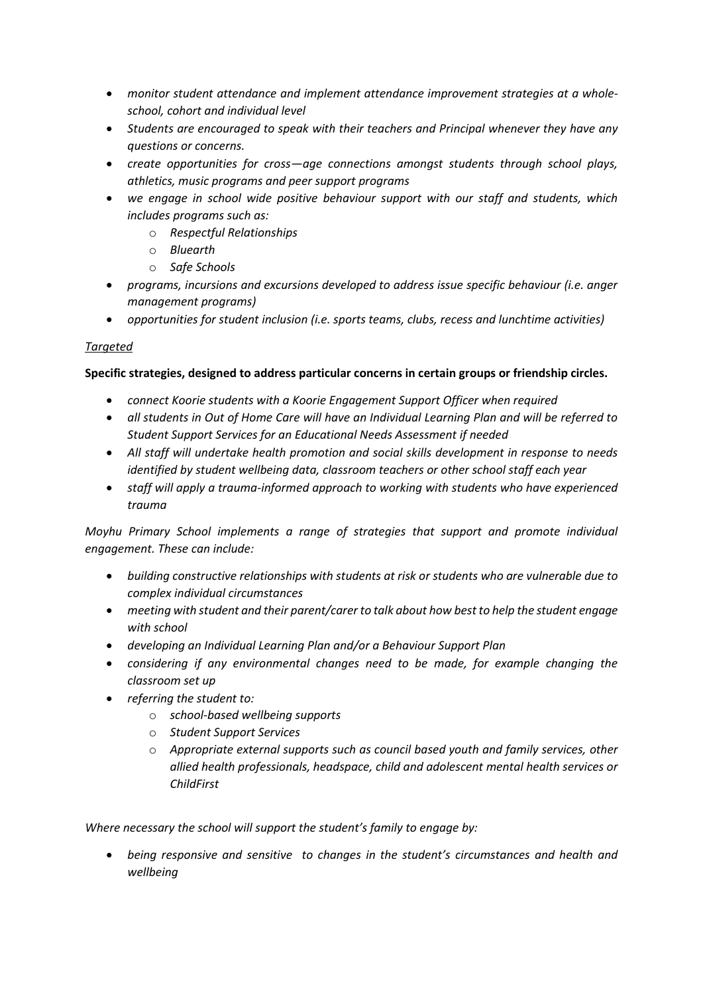- *monitor student attendance and implement attendance improvement strategies at a wholeschool, cohort and individual level*
- *Students are encouraged to speak with their teachers and Principal whenever they have any questions or concerns.*
- *create opportunities for cross—age connections amongst students through school plays, athletics, music programs and peer support programs*
- *we engage in school wide positive behaviour support with our staff and students, which includes programs such as:*
	- o *Respectful Relationships*
	- o *Bluearth*
	- o *Safe Schools*
- *programs, incursions and excursions developed to address issue specific behaviour (i.e. anger management programs)*
- *opportunities for student inclusion (i.e. sports teams, clubs, recess and lunchtime activities)*

#### *Targeted*

#### **Specific strategies, designed to address particular concerns in certain groups or friendship circles.**

- *connect Koorie students with a Koorie Engagement Support Officer when required*
- *all students in Out of Home Care will have an Individual Learning Plan and will be referred to Student Support Services for an Educational Needs Assessment if needed*
- *All staff will undertake health promotion and social skills development in response to needs identified by student wellbeing data, classroom teachers or other school staff each year*
- *staff will apply a trauma-informed approach to working with students who have experienced trauma*

*Moyhu Primary School implements a range of strategies that support and promote individual engagement. These can include:*

- *building constructive relationships with students at risk or students who are vulnerable due to complex individual circumstances*
- *meeting with student and their parent/carer to talk about how best to help the student engage with school*
- *developing an Individual Learning Plan and/or a Behaviour Support Plan*
- *considering if any environmental changes need to be made, for example changing the classroom set up*
- *referring the student to:*
	- o *school-based wellbeing supports*
	- o *Student Support Services*
	- o *Appropriate external supports such as council based youth and family services, other allied health professionals, headspace, child and adolescent mental health services or ChildFirst*

*Where necessary the school will support the student's family to engage by:*

• *being responsive and sensitive to changes in the student's circumstances and health and wellbeing*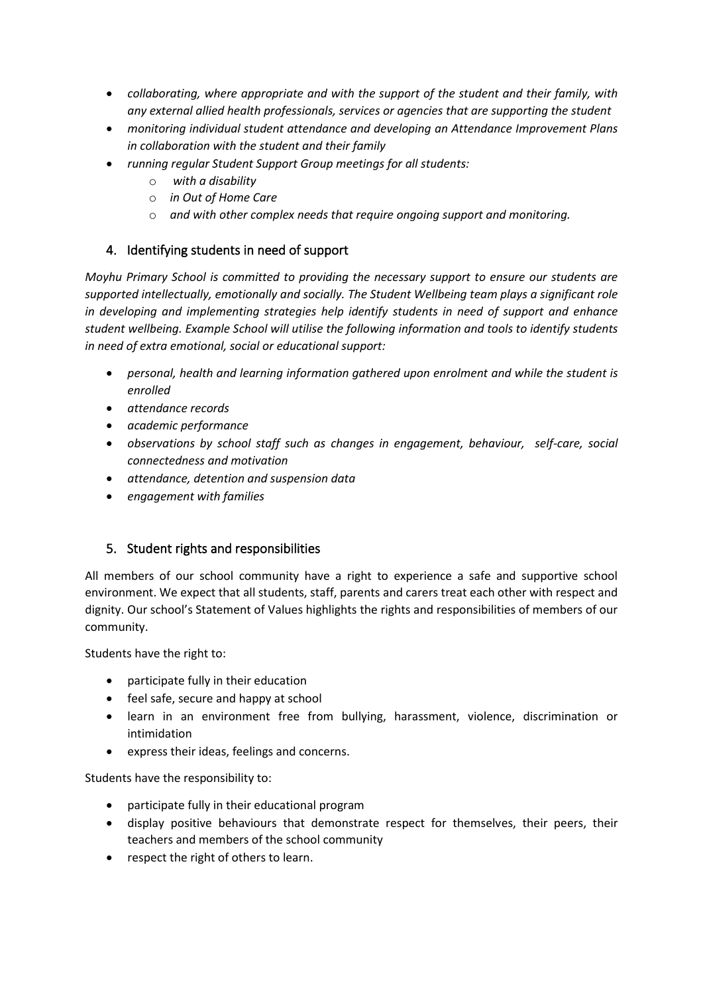- *collaborating, where appropriate and with the support of the student and their family, with any external allied health professionals, services or agencies that are supporting the student*
- *monitoring individual student attendance and developing an Attendance Improvement Plans in collaboration with the student and their family*
- *running regular Student Support Group meetings for all students:*
	- o *with a disability*
	- o *in Out of Home Care*
	- o *and with other complex needs that require ongoing support and monitoring.*

## 4. Identifying students in need of support

*Moyhu Primary School is committed to providing the necessary support to ensure our students are supported intellectually, emotionally and socially. The Student Wellbeing team plays a significant role in developing and implementing strategies help identify students in need of support and enhance student wellbeing. Example School will utilise the following information and tools to identify students in need of extra emotional, social or educational support:*

- *personal, health and learning information gathered upon enrolment and while the student is enrolled*
- *attendance records*
- *academic performance*
- *observations by school staff such as changes in engagement, behaviour, self-care, social connectedness and motivation*
- *attendance, detention and suspension data*
- *engagement with families*

# 5. Student rights and responsibilities

All members of our school community have a right to experience a safe and supportive school environment. We expect that all students, staff, parents and carers treat each other with respect and dignity. Our school's Statement of Values highlights the rights and responsibilities of members of our community.

Students have the right to:

- participate fully in their education
- feel safe, secure and happy at school
- learn in an environment free from bullying, harassment, violence, discrimination or intimidation
- express their ideas, feelings and concerns.

Students have the responsibility to:

- participate fully in their educational program
- display positive behaviours that demonstrate respect for themselves, their peers, their teachers and members of the school community
- respect the right of others to learn.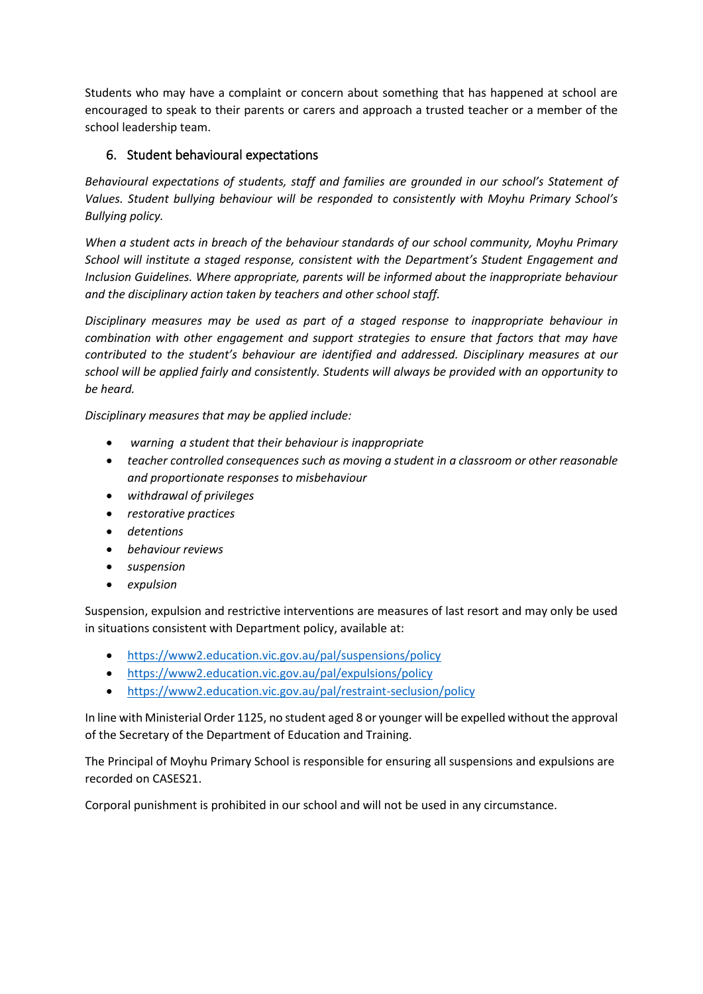Students who may have a complaint or concern about something that has happened at school are encouraged to speak to their parents or carers and approach a trusted teacher or a member of the school leadership team.

# 6. Student behavioural expectations

*Behavioural expectations of students, staff and families are grounded in our school's Statement of Values. Student bullying behaviour will be responded to consistently with Moyhu Primary School's Bullying policy.* 

*When a student acts in breach of the behaviour standards of our school community, Moyhu Primary School will institute a staged response, consistent with the Department's Student Engagement and Inclusion Guidelines. Where appropriate, parents will be informed about the inappropriate behaviour and the disciplinary action taken by teachers and other school staff.* 

*Disciplinary measures may be used as part of a staged response to inappropriate behaviour in combination with other engagement and support strategies to ensure that factors that may have contributed to the student's behaviour are identified and addressed. Disciplinary measures at our school will be applied fairly and consistently. Students will always be provided with an opportunity to be heard.* 

*Disciplinary measures that may be applied include:*

- *warning a student that their behaviour is inappropriate*
- *teacher controlled consequences such as moving a student in a classroom or other reasonable and proportionate responses to misbehaviour*
- *withdrawal of privileges*
- *restorative practices*
- *detentions*
- *behaviour reviews*
- *suspension*
- *expulsion*

Suspension, expulsion and restrictive interventions are measures of last resort and may only be used in situations consistent with Department policy, available at:

- <https://www2.education.vic.gov.au/pal/suspensions/policy>
- <https://www2.education.vic.gov.au/pal/expulsions/policy>
- <https://www2.education.vic.gov.au/pal/restraint-seclusion/policy>

In line with Ministerial Order 1125, no student aged 8 or younger will be expelled without the approval of the Secretary of the Department of Education and Training.

The Principal of Moyhu Primary School is responsible for ensuring all suspensions and expulsions are recorded on CASES21.

Corporal punishment is prohibited in our school and will not be used in any circumstance.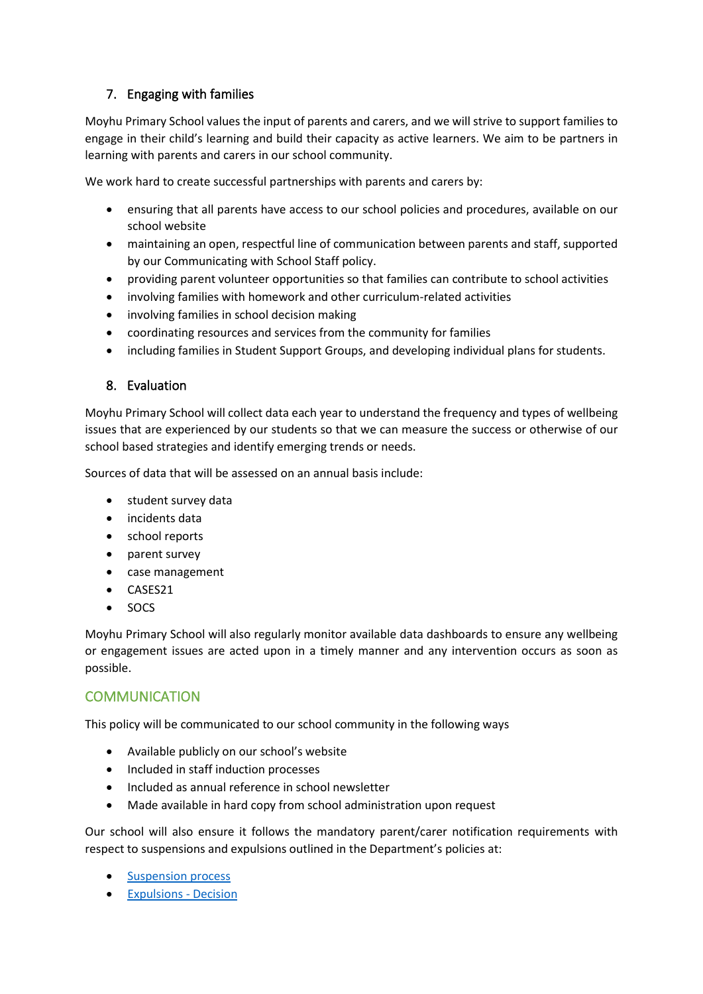# 7. Engaging with families

Moyhu Primary School values the input of parents and carers, and we will strive to support families to engage in their child's learning and build their capacity as active learners. We aim to be partners in learning with parents and carers in our school community.

We work hard to create successful partnerships with parents and carers by:

- ensuring that all parents have access to our school policies and procedures, available on our school website
- maintaining an open, respectful line of communication between parents and staff, supported by our Communicating with School Staff policy.
- providing parent volunteer opportunities so that families can contribute to school activities
- involving families with homework and other curriculum-related activities
- involving families in school decision making
- coordinating resources and services from the community for families
- including families in Student Support Groups, and developing individual plans for students.

### 8. Evaluation

Moyhu Primary School will collect data each year to understand the frequency and types of wellbeing issues that are experienced by our students so that we can measure the success or otherwise of our school based strategies and identify emerging trends or needs.

Sources of data that will be assessed on an annual basis include:

- student survey data
- incidents data
- school reports
- parent survey
- case management
- CASES21
- SOCS

Moyhu Primary School will also regularly monitor available data dashboards to ensure any wellbeing or engagement issues are acted upon in a timely manner and any intervention occurs as soon as possible.

# **COMMUNICATION**

This policy will be communicated to our school community in the following ways

- Available publicly on our school's website
- Included in staff induction processes
- Included as annual reference in school newsletter
- Made available in hard copy from school administration upon request

Our school will also ensure it follows the mandatory parent/carer notification requirements with respect to suspensions and expulsions outlined in the Department's policies at:

- [Suspension process](https://www2.education.vic.gov.au/pal/suspensions/guidance/1-suspension-process)
- [Expulsions -](https://www2.education.vic.gov.au/pal/expulsions/guidance/decision) Decision